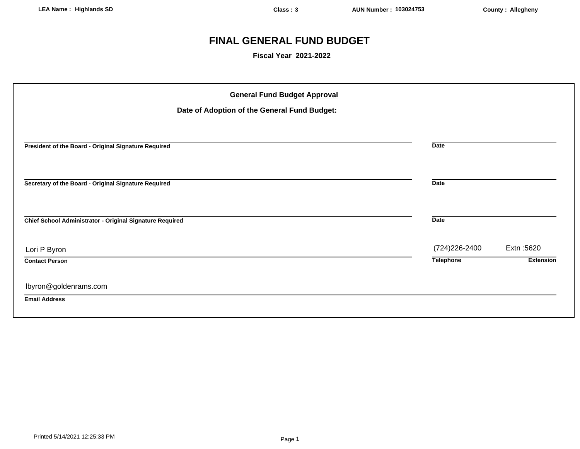## **FINAL GENERAL FUND BUDGET**

**Fiscal Year 2021-2022**

| <b>General Fund Budget Approval</b><br>Date of Adoption of the General Fund Budget: |                  |                  |
|-------------------------------------------------------------------------------------|------------------|------------------|
| President of the Board - Original Signature Required                                | <b>Date</b>      |                  |
| Secretary of the Board - Original Signature Required                                | <b>Date</b>      |                  |
| Chief School Administrator - Original Signature Required                            | <b>Date</b>      |                  |
| Lori P Byron                                                                        | (724) 226-2400   | Extn: 5620       |
| <b>Contact Person</b>                                                               | <b>Telephone</b> | <b>Extension</b> |
| lbyron@goldenrams.com<br><b>Email Address</b>                                       |                  |                  |
|                                                                                     |                  |                  |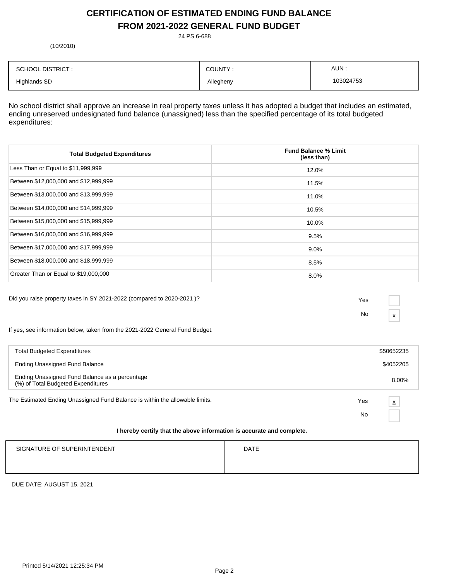## **CERTIFICATION OF ESTIMATED ENDING FUND BALANCE FROM 2021-2022 GENERAL FUND BUDGET**

24 PS 6-688

(10/2010)

| <b>SCHOOL DISTRICT:</b> | COUNTY:   | AUN:      |
|-------------------------|-----------|-----------|
| <b>Highlands SD</b>     | Allegheny | 103024753 |

No school district shall approve an increase in real property taxes unless it has adopted a budget that includes an estimated, ending unreserved undesignated fund balance (unassigned) less than the specified percentage of its total budgeted expenditures:

| <b>Total Budgeted Expenditures</b>    | <b>Fund Balance % Limit</b><br>(less than) |
|---------------------------------------|--------------------------------------------|
| Less Than or Equal to \$11,999,999    | 12.0%                                      |
| Between \$12,000,000 and \$12,999,999 | 11.5%                                      |
| Between \$13,000,000 and \$13,999,999 | 11.0%                                      |
| Between \$14,000,000 and \$14,999,999 | 10.5%                                      |
| Between \$15,000,000 and \$15,999,999 | 10.0%                                      |
| Between \$16,000,000 and \$16,999,999 | 9.5%                                       |
| Between \$17,000,000 and \$17,999,999 | $9.0\%$                                    |
| Between \$18,000,000 and \$18,999,999 | 8.5%                                       |
| Greater Than or Equal to \$19,000,000 | 8.0%                                       |

Did you raise property taxes in SY 2021-2022 (compared to 2020-2021 )? Yes

No  $\frac{\mathbf{x}}{}$ 

If yes, see information below, taken from the 2021-2022 General Fund Budget.

| <b>Total Budgeted Expenditures</b>                                                   |     | \$50652235              |
|--------------------------------------------------------------------------------------|-----|-------------------------|
| Ending Unassigned Fund Balance                                                       |     | \$4052205               |
| Ending Unassigned Fund Balance as a percentage<br>(%) of Total Budgeted Expenditures |     | 8.00%                   |
| The Estimated Ending Unassigned Fund Balance is within the allowable limits.         | Yes | $\overline{\mathbf{x}}$ |
|                                                                                      | No  |                         |
| I havehu sautifu that the shaus information is securete and semplate.                |     |                         |

### **I hereby certify that the above information is accurate and complete.**

| SIGNATURE OF SUPERINTENDENT | <b>DATE</b> |
|-----------------------------|-------------|
|                             |             |
|                             |             |

DUE DATE: AUGUST 15, 2021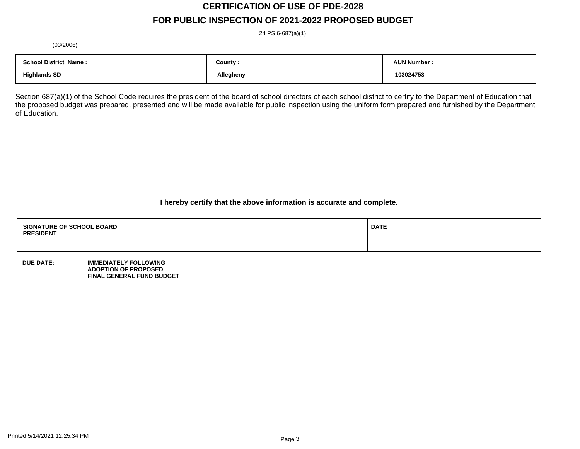# **CERTIFICATION OF USE OF PDE-2028**

## **FOR PUBLIC INSPECTION OF 2021-2022 PROPOSED BUDGET**

24 PS 6-687(a)(1)

(03/2006)

| <b>School District Name:</b> | County :  | <b>AUN Number</b> |
|------------------------------|-----------|-------------------|
| <b>Highlands SD</b>          | Allegheny | 103024753         |

Section 687(a)(1) of the School Code requires the president of the board of school directors of each school district to certify to the Department of Education that the proposed budget was prepared, presented and will be made available for public inspection using the uniform form prepared and furnished by the Department of Education.

**I hereby certify that the above information is accurate and complete.**

| <b>SIGNATURE OF SCHOOL BOARD</b><br><b>PRESIDENT</b> | <b>DATE</b> |
|------------------------------------------------------|-------------|
|                                                      |             |

**DUE DATE: IMMEDIATELY FOLLOWING ADOPTION OF PROPOSED FINAL GENERAL FUND BUDGET**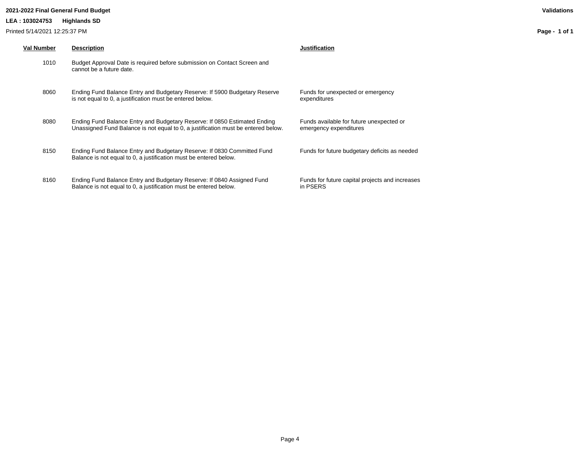### **2021-2022 Final General Fund Budget Validations**

### **LEA : 103024753 Highlands SD**

Printed 5/14/2021 12:25:37 PM

| Val Number | <b>Description</b>                                                                                                                                             | Justification                                                      |
|------------|----------------------------------------------------------------------------------------------------------------------------------------------------------------|--------------------------------------------------------------------|
| 1010       | Budget Approval Date is required before submission on Contact Screen and<br>cannot be a future date.                                                           |                                                                    |
| 8060       | Ending Fund Balance Entry and Budgetary Reserve: If 5900 Budgetary Reserve<br>is not equal to 0, a justification must be entered below.                        | Funds for unexpected or emergency<br>expenditures                  |
| 8080       | Ending Fund Balance Entry and Budgetary Reserve: If 0850 Estimated Ending<br>Unassigned Fund Balance is not equal to 0, a justification must be entered below. | Funds available for future unexpected or<br>emergency expenditures |
| 8150       | Ending Fund Balance Entry and Budgetary Reserve: If 0830 Committed Fund<br>Balance is not equal to 0, a justification must be entered below.                   | Funds for future budgetary deficits as needed                      |
| 8160       | Ending Fund Balance Entry and Budgetary Reserve: If 0840 Assigned Fund<br>Balance is not equal to 0, a justification must be entered below.                    | Funds for future capital projects and increases<br>in PSERS        |

**Page - 1 of 1**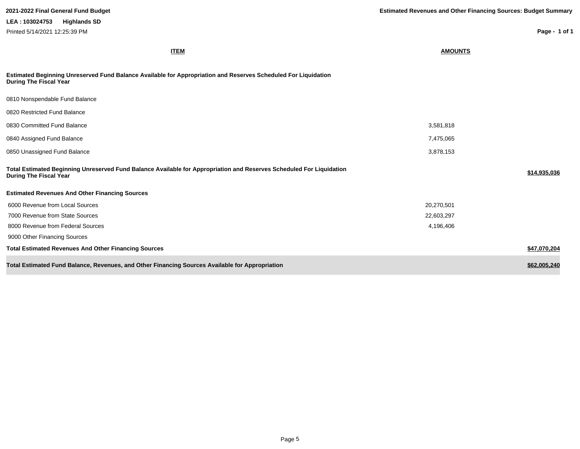**Page - 1 of 1**

| <b>ITEM</b>                                                                                                                                           | <b>AMOUNTS</b> |              |
|-------------------------------------------------------------------------------------------------------------------------------------------------------|----------------|--------------|
| Estimated Beginning Unreserved Fund Balance Available for Appropriation and Reserves Scheduled For Liquidation<br><b>During The Fiscal Year</b>       |                |              |
| 0810 Nonspendable Fund Balance                                                                                                                        |                |              |
| 0820 Restricted Fund Balance                                                                                                                          |                |              |
| 0830 Committed Fund Balance                                                                                                                           | 3,581,818      |              |
| 0840 Assigned Fund Balance                                                                                                                            | 7,475,065      |              |
| 0850 Unassigned Fund Balance                                                                                                                          | 3,878,153      |              |
| Total Estimated Beginning Unreserved Fund Balance Available for Appropriation and Reserves Scheduled For Liquidation<br><b>During The Fiscal Year</b> |                | \$14,935,036 |
| <b>Estimated Revenues And Other Financing Sources</b>                                                                                                 |                |              |
| 6000 Revenue from Local Sources                                                                                                                       | 20,270,501     |              |
| 7000 Revenue from State Sources                                                                                                                       | 22,603,297     |              |
| 8000 Revenue from Federal Sources                                                                                                                     | 4,196,406      |              |
| 9000 Other Financing Sources                                                                                                                          |                |              |
| <b>Total Estimated Revenues And Other Financing Sources</b>                                                                                           |                | \$47,070,204 |
| Total Estimated Fund Balance, Revenues, and Other Financing Sources Available for Appropriation                                                       |                | \$62,005,240 |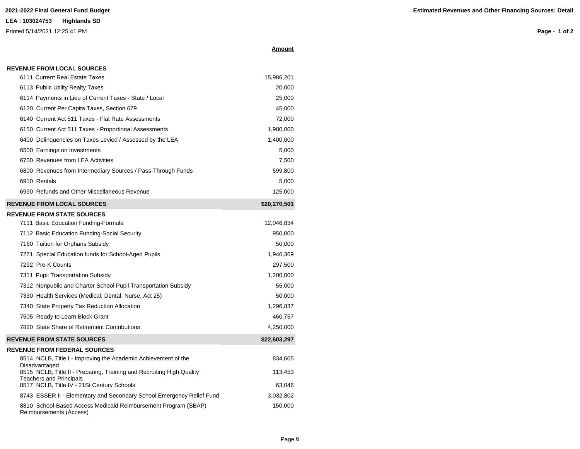**REVENUE FROM LOCAL SOURCES**

Printed 5/14/2021 12:25:41 PM

**Page - 1 of 2**

| \molin |
|--------|
|--------|

| 6114 Payments in Lieu of Current Taxes - State / Local       | 25,000       |
|--------------------------------------------------------------|--------------|
| 6120 Current Per Capita Taxes, Section 679                   | 45,000       |
| 6140 Current Act 511 Taxes - Flat Rate Assessments           | 72,000       |
| 6150 Current Act 511 Taxes - Proportional Assessments        | 1,980,000    |
| 6400 Delinguencies on Taxes Levied / Assessed by the LEA     | 1,400,000    |
| 6500 Earnings on Investments                                 | 5,000        |
| 6700 Revenues from LEA Activities                            | 7,500        |
| 6800 Revenues from Intermediary Sources / Pass-Through Funds | 599,800      |
| 6910 Rentals                                                 | 5,000        |
| 6990 Refunds and Other Miscellaneous Revenue                 | 125,000      |
| <b>REVENUE FROM LOCAL SOURCES</b>                            | \$20,270,501 |
| <b>REVENUE FROM STATE SOURCES</b>                            |              |
| 7111 Basic Education Funding-Formula                         | 12,046,834   |
| 7112 Basic Education Funding-Social Security                 | 950,000      |
| 7160 Tuition for Orphans Subsidy                             | 50,000       |

| THE BASIC EQUCATION FUNDING SOCIAL SECUTITY                    | ອວບ.ບບບ      |
|----------------------------------------------------------------|--------------|
| 7160 Tuition for Orphans Subsidy                               | 50,000       |
| 7271 Special Education funds for School-Aged Pupils            | 1,946,369    |
| 7292 Pre-K Counts                                              | 297,500      |
| 7311 Pupil Transportation Subsidy                              | 1,200,000    |
| 7312 Nonpublic and Charter School Pupil Transportation Subsidy | 55,000       |
| 7330 Health Services (Medical, Dental, Nurse, Act 25)          | 50,000       |
| 7340 State Property Tax Reduction Allocation                   | 1,296,837    |
| 7505 Ready to Learn Block Grant                                | 460,757      |
| 7820 State Share of Retirement Contributions                   | 4,250,000    |
| <b>REVENUE FROM STATE SOURCES</b>                              | \$22,603,297 |
| <b>REVENUE FROM FEDERAL SOURCES</b>                            |              |
|                                                                |              |

6111 Current Real Estate Taxes 15,986,201 6113 Public Utility Realty Taxes 20,000

| 8514 NCLB, Title I - Improving the Academic Achievement of the<br>Disadvantaged           | 834.605   |
|-------------------------------------------------------------------------------------------|-----------|
| 8515 NCLB, Title II - Preparing, Training and Recruiting High Quality                     | 113.453   |
| <b>Teachers and Principals</b><br>8517 NCLB, Title IV - 21St Century Schools              | 63.046    |
| 8743 ESSER II - Elementary and Secondary School Emergency Relief Fund                     | 3.032.802 |
| 8810 School-Based Access Medicaid Reimbursement Program (SBAP)<br>Reimbursements (Access) | 150.000   |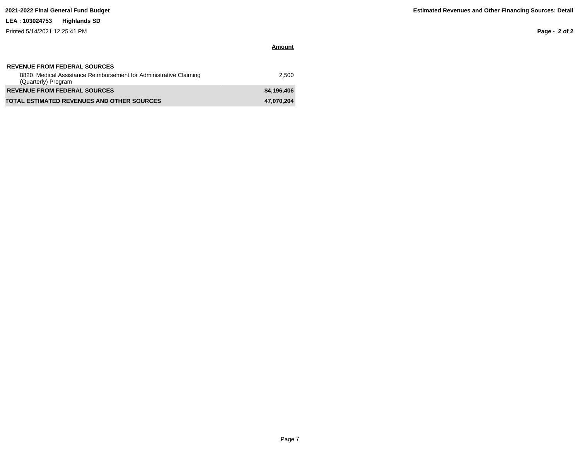Printed 5/14/2021 12:25:41 PM

**Page - 2 of 2**

| <b>REVENUE FROM FEDERAL SOURCES</b><br>8820 Medical Assistance Reimbursement for Administrative Claiming<br>(Quarterly) Program | 2.500       |
|---------------------------------------------------------------------------------------------------------------------------------|-------------|
| <b>REVENUE FROM FEDERAL SOURCES</b>                                                                                             | \$4,196,406 |
| <b>TOTAL ESTIMATED REVENUES AND OTHER SOURCES</b>                                                                               | 47,070,204  |

**Amount**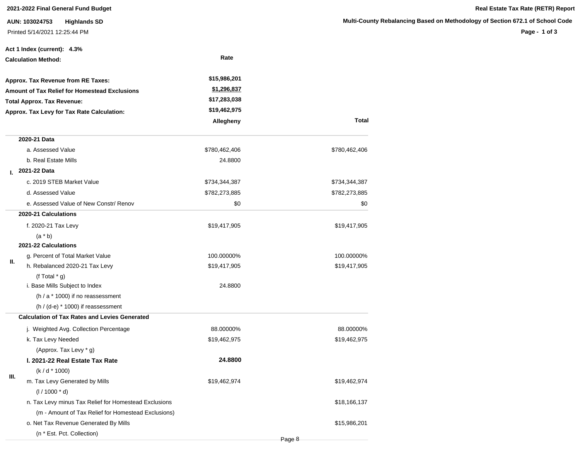**AUN: 103024753 Highlands SD** Printed 5/14/2021 12:25:44 PM

**Page - 1 of 3**

|    | Act 1 Index (current): 4.3%                           |                    |               |
|----|-------------------------------------------------------|--------------------|---------------|
|    | <b>Calculation Method:</b>                            | Rate               |               |
|    | Approx. Tax Revenue from RE Taxes:                    | \$15,986,201       |               |
|    | <b>Amount of Tax Relief for Homestead Exclusions</b>  | <u>\$1,296,837</u> |               |
|    | <b>Total Approx. Tax Revenue:</b>                     | \$17,283,038       |               |
|    | Approx. Tax Levy for Tax Rate Calculation:            | \$19,462,975       |               |
|    |                                                       | Allegheny          | Total         |
|    | 2020-21 Data                                          |                    |               |
|    | a. Assessed Value                                     | \$780,462,406      | \$780,462,406 |
|    | b. Real Estate Mills                                  | 24.8800            |               |
| L. | 2021-22 Data                                          |                    |               |
|    | c. 2019 STEB Market Value                             | \$734,344,387      | \$734,344,387 |
|    | d. Assessed Value                                     | \$782,273,885      | \$782,273,885 |
|    | e. Assessed Value of New Constr/ Renov                | \$0                | \$0           |
|    | 2020-21 Calculations                                  |                    |               |
|    | f. 2020-21 Tax Levy                                   | \$19,417,905       | \$19,417,905  |
|    | $(a * b)$                                             |                    |               |
|    | 2021-22 Calculations                                  |                    |               |
| Ш. | g. Percent of Total Market Value                      | 100.00000%         | 100.00000%    |
|    | h. Rebalanced 2020-21 Tax Levy                        | \$19,417,905       | \$19,417,905  |
|    | (f Total $*$ g)                                       |                    |               |
|    | i. Base Mills Subject to Index                        | 24.8800            |               |
|    | $(h / a * 1000)$ if no reassessment                   |                    |               |
|    | $(h / (d-e) * 1000)$ if reassessment                  |                    |               |
|    | <b>Calculation of Tax Rates and Levies Generated</b>  |                    |               |
|    | j. Weighted Avg. Collection Percentage                | 88.00000%          | 88.00000%     |
|    | k. Tax Levy Needed                                    | \$19,462,975       | \$19,462,975  |
|    | (Approx. Tax Levy * g)                                |                    |               |
|    | I. 2021-22 Real Estate Tax Rate                       | 24.8800            |               |
| Ш. | (k/d * 1000)                                          |                    |               |
|    | m. Tax Levy Generated by Mills                        | \$19,462,974       | \$19,462,974  |
|    | $(1/1000 * d)$                                        |                    |               |
|    | n. Tax Levy minus Tax Relief for Homestead Exclusions |                    | \$18,166,137  |
|    | (m - Amount of Tax Relief for Homestead Exclusions)   |                    |               |
|    | o. Net Tax Revenue Generated By Mills                 |                    | \$15,986,201  |
|    | (n * Est. Pct. Collection)                            |                    |               |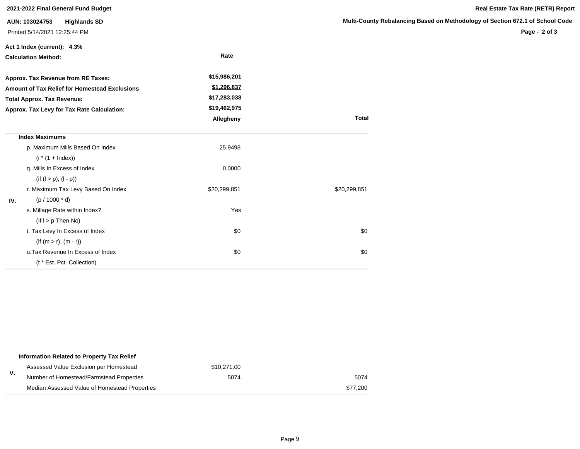|     | 2021-2022 Final General Fund Budget           |              |                     |
|-----|-----------------------------------------------|--------------|---------------------|
|     | AUN: 103024753<br><b>Highlands SD</b>         |              | <b>Multi-County</b> |
|     | Printed 5/14/2021 12:25:44 PM                 |              |                     |
|     | Act 1 Index (current): 4.3%                   |              |                     |
|     | <b>Calculation Method:</b>                    | Rate         |                     |
|     | Approx. Tax Revenue from RE Taxes:            | \$15,986,201 |                     |
|     | Amount of Tax Relief for Homestead Exclusions | \$1,296,837  |                     |
|     | <b>Total Approx. Tax Revenue:</b>             | \$17,283,038 |                     |
|     | Approx. Tax Levy for Tax Rate Calculation:    | \$19,462,975 |                     |
|     |                                               | Allegheny    | <b>Total</b>        |
|     | <b>Index Maximums</b>                         |              |                     |
|     | p. Maximum Mills Based On Index               | 25.9498      |                     |
|     | $(i * (1 + Index))$                           |              |                     |
|     | q. Mills In Excess of Index                   | 0.0000       |                     |
|     | $(if (l > p), (l - p))$                       |              |                     |
|     | r. Maximum Tax Levy Based On Index            | \$20,299,851 | \$20,299,851        |
| IV. | $(p / 1000 * d)$                              |              |                     |
|     | s. Millage Rate within Index?                 | Yes          |                     |
|     | $($ lf $I > p$ Then No)                       |              |                     |
|     | t. Tax Levy In Excess of Index                | \$0          | \$0                 |
|     | $(if (m > r), (m - r))$                       |              |                     |
|     | u. Tax Revenue In Excess of Index             | \$0          | \$0                 |
|     | (t * Est. Pct. Collection)                    |              |                     |

|    | Information Related to Property Tax Relief    |             |          |
|----|-----------------------------------------------|-------------|----------|
|    | Assessed Value Exclusion per Homestead        | \$10.271.00 |          |
| ۷. | Number of Homestead/Farmstead Properties      | 5074        | 5074     |
|    | Median Assessed Value of Homestead Properties |             | \$77.200 |

**Page - 2 of 3**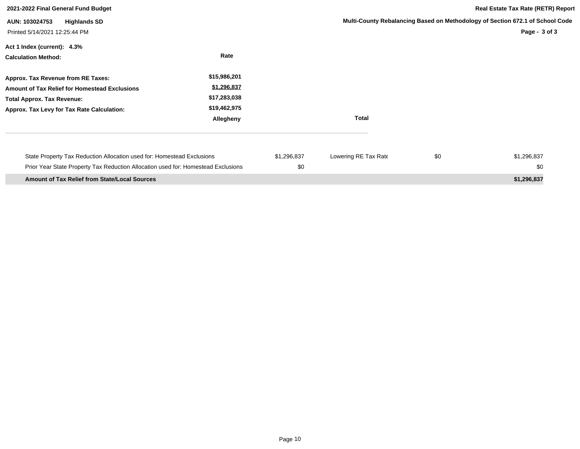| 2021-2022 Final General Fund Budget                                                                                                                                    |                                                                          |                    |                      | <b>Real Estate Tax Rate (RETR) Report</b>                                                      |                    |
|------------------------------------------------------------------------------------------------------------------------------------------------------------------------|--------------------------------------------------------------------------|--------------------|----------------------|------------------------------------------------------------------------------------------------|--------------------|
| <b>Highlands SD</b><br>AUN: 103024753<br>Printed 5/14/2021 12:25:44 PM                                                                                                 |                                                                          |                    |                      | Multi-County Rebalancing Based on Methodology of Section 672.1 of School Code<br>Page - 3 of 3 |                    |
| Act 1 Index (current): 4.3%<br><b>Calculation Method:</b>                                                                                                              | Rate                                                                     |                    |                      |                                                                                                |                    |
| Approx. Tax Revenue from RE Taxes:<br>Amount of Tax Relief for Homestead Exclusions<br><b>Total Approx. Tax Revenue:</b><br>Approx. Tax Levy for Tax Rate Calculation: | \$15,986,201<br>\$1,296,837<br>\$17,283,038<br>\$19,462,975<br>Allegheny |                    | <b>Total</b>         |                                                                                                |                    |
| State Property Tax Reduction Allocation used for: Homestead Exclusions<br>Prior Year State Property Tax Reduction Allocation used for: Homestead Exclusions            |                                                                          | \$1,296,837<br>\$0 | Lowering RE Tax Rate | \$0                                                                                            | \$1,296,837<br>\$0 |
| <b>Amount of Tax Relief from State/Local Sources</b>                                                                                                                   |                                                                          |                    |                      |                                                                                                | \$1,296,837        |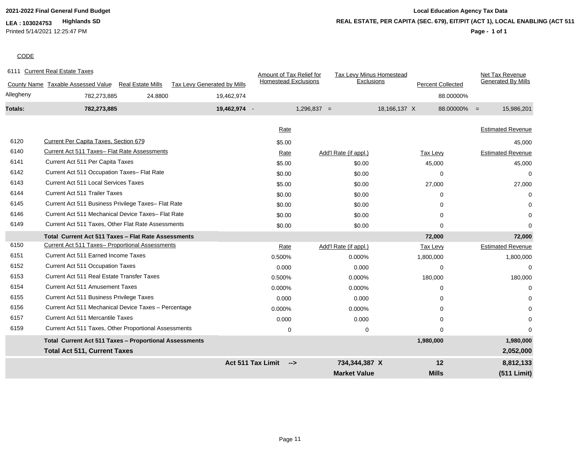Printed 5/14/2021 12:25:47 PM

## **2021-2022 Final General Fund Budget Local Education Agency Tax Data Page - 1 of 1 REAL ESTATE, PER CAPITA (SEC. 679), EIT/PIT (ACT 1), LOCAL ENABLING (ACT 511)**

## **CODE**

| 6111 Current Real Estate Taxes                                |                             | Amount of Tax Relief for                  | Tax Levy Minus Homestead |                          | Net Tax Revenue           |
|---------------------------------------------------------------|-----------------------------|-------------------------------------------|--------------------------|--------------------------|---------------------------|
| County Name Taxable Assessed Value<br>Real Estate Mills       | Tax Levy Generated by Mills | <b>Homestead Exclusions</b>               | <b>Exclusions</b>        | <b>Percent Collected</b> | <b>Generated By Mills</b> |
| Allegheny<br>782,273,885                                      | 24.8800<br>19,462,974       |                                           |                          |                          | 88.00000%                 |
| Totals:<br>782,273,885                                        | 19,462,974 -                |                                           | $1,296,837 =$            | 18,166,137 X             | 88.00000% =<br>15,986,201 |
|                                                               |                             | Rate                                      |                          |                          | <b>Estimated Revenue</b>  |
|                                                               |                             |                                           |                          |                          |                           |
| 6120<br>Current Per Capita Taxes, Section 679                 |                             | \$5.00                                    |                          |                          | 45,000                    |
| 6140<br>Current Act 511 Taxes- Flat Rate Assessments          |                             | Rate                                      | Add'l Rate (if appl.)    | <b>Tax Levy</b>          | <b>Estimated Revenue</b>  |
| Current Act 511 Per Capita Taxes<br>6141                      |                             | \$5.00                                    | \$0.00                   | 45,000                   | 45,000                    |
| 6142<br>Current Act 511 Occupation Taxes- Flat Rate           |                             | \$0.00                                    | \$0.00                   | $\Omega$                 | $\Omega$                  |
| <b>Current Act 511 Local Services Taxes</b><br>6143           |                             | \$5.00                                    | \$0.00                   | 27,000                   | 27,000                    |
| 6144<br><b>Current Act 511 Trailer Taxes</b>                  |                             | \$0.00                                    | \$0.00                   | 0                        | ∩                         |
| 6145<br>Current Act 511 Business Privilege Taxes- Flat Rate   |                             | \$0.00                                    | \$0.00                   | 0                        |                           |
| Current Act 511 Mechanical Device Taxes- Flat Rate<br>6146    |                             | \$0.00                                    | \$0.00                   | $\Omega$                 | $\Omega$                  |
| 6149<br>Current Act 511 Taxes, Other Flat Rate Assessments    |                             | \$0.00                                    | \$0.00                   | $\Omega$                 | $\Omega$                  |
| Total Current Act 511 Taxes - Flat Rate Assessments           |                             |                                           |                          | 72,000                   | 72,000                    |
| 6150<br>Current Act 511 Taxes- Proportional Assessments       |                             | Rate                                      | Add'l Rate (if appl.)    | <b>Tax Levy</b>          | <b>Estimated Revenue</b>  |
| 6151<br>Current Act 511 Earned Income Taxes                   |                             | 0.500%                                    | 0.000%                   | 1,800,000                | 1,800,000                 |
| 6152<br><b>Current Act 511 Occupation Taxes</b>               |                             | 0.000                                     | 0.000                    | 0                        | 0                         |
| Current Act 511 Real Estate Transfer Taxes<br>6153            |                             | 0.500%                                    | 0.000%                   | 180,000                  | 180,000                   |
| 6154<br><b>Current Act 511 Amusement Taxes</b>                |                             | 0.000%                                    | 0.000%                   | $\Omega$                 | $\Omega$                  |
| 6155<br>Current Act 511 Business Privilege Taxes              |                             | 0.000                                     | 0.000                    | 0                        |                           |
| 6156<br>Current Act 511 Mechanical Device Taxes - Percentage  |                             | 0.000%                                    | 0.000%                   | $\Omega$                 |                           |
| <b>Current Act 511 Mercantile Taxes</b><br>6157               |                             | 0.000                                     | 0.000                    | 0                        |                           |
| 6159<br>Current Act 511 Taxes, Other Proportional Assessments |                             | $\pmb{0}$                                 | $\mathbf 0$              | $\Omega$                 | O                         |
| Total Current Act 511 Taxes - Proportional Assessments        |                             |                                           |                          | 1,980,000                | 1,980,000                 |
| <b>Total Act 511, Current Taxes</b>                           |                             |                                           |                          |                          | 2,052,000                 |
|                                                               |                             | <b>Act 511 Tax Limit</b><br>$\rightarrow$ | 734,344,387 X            | 12                       | 8,812,133                 |
|                                                               |                             |                                           | <b>Market Value</b>      | <b>Mills</b>             | (511 Limit)               |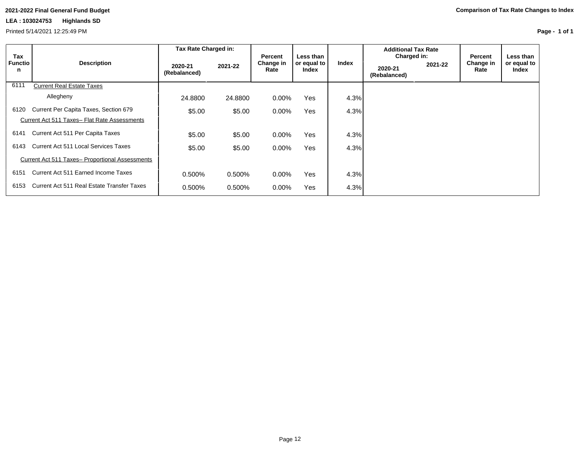Printed 5/14/2021 12:25:49 PM

**Page - 1 of 1**

|                     |                                                        | Tax Rate Charged in:    |         |                              |                                   |       | <b>Additional Tax Rate</b>             |         |                              |                                     |
|---------------------|--------------------------------------------------------|-------------------------|---------|------------------------------|-----------------------------------|-------|----------------------------------------|---------|------------------------------|-------------------------------------|
| Tax<br>Functio<br>n | <b>Description</b>                                     | 2020-21<br>(Rebalanced) | 2021-22 | Percent<br>Change in<br>Rate | Less than<br>or equal to<br>Index | Index | Charged in:<br>2020-21<br>(Rebalanced) | 2021-22 | Percent<br>Change in<br>Rate | Less than I<br>or equal to<br>Index |
| 6111                | <b>Current Real Estate Taxes</b>                       |                         |         |                              |                                   |       |                                        |         |                              |                                     |
|                     | Allegheny                                              | 24.8800                 | 24.8800 | $0.00\%$                     | <b>Yes</b>                        | 4.3%  |                                        |         |                              |                                     |
| 6120                | Current Per Capita Taxes, Section 679                  | \$5.00                  | \$5.00  | $0.00\%$                     | <b>Yes</b>                        | 4.3%  |                                        |         |                              |                                     |
|                     | Current Act 511 Taxes- Flat Rate Assessments           |                         |         |                              |                                   |       |                                        |         |                              |                                     |
| 6141                | Current Act 511 Per Capita Taxes                       | \$5.00                  | \$5.00  | $0.00\%$                     | Yes                               | 4.3%  |                                        |         |                              |                                     |
| 6143                | Current Act 511 Local Services Taxes                   | \$5.00                  | \$5.00  | $0.00\%$                     | <b>Yes</b>                        | 4.3%  |                                        |         |                              |                                     |
|                     | <b>Current Act 511 Taxes- Proportional Assessments</b> |                         |         |                              |                                   |       |                                        |         |                              |                                     |
| 6151                | Current Act 511 Earned Income Taxes                    | 0.500%                  | 0.500%  | $0.00\%$                     | <b>Yes</b>                        | 4.3%  |                                        |         |                              |                                     |
| 6153                | Current Act 511 Real Estate Transfer Taxes             | 0.500%                  | 0.500%  | $0.00\%$                     | <b>Yes</b>                        | 4.3%  |                                        |         |                              |                                     |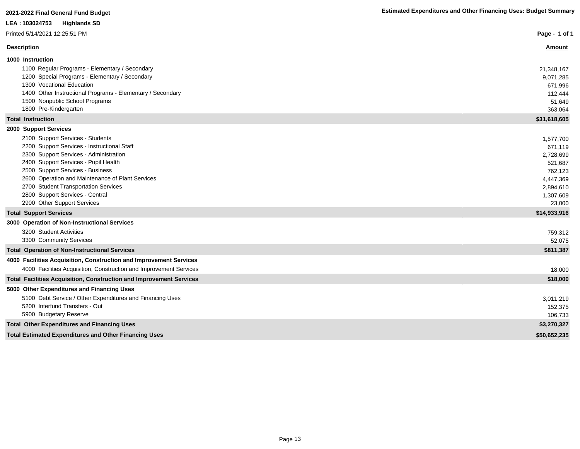### Printed 5/14/2021 12:25:51 PM

| Printed 5/14/2021 12:25:51 PM                                              | Page - 1 of 1 |
|----------------------------------------------------------------------------|---------------|
| <b>Description</b>                                                         | <b>Amount</b> |
| 1000 Instruction                                                           |               |
| 1100 Regular Programs - Elementary / Secondary                             | 21,348,167    |
| 1200 Special Programs - Elementary / Secondary                             | 9,071,285     |
| 1300 Vocational Education                                                  | 671,996       |
| 1400 Other Instructional Programs - Elementary / Secondary                 | 112,444       |
| 1500 Nonpublic School Programs                                             | 51,649        |
| 1800 Pre-Kindergarten                                                      | 363,064       |
| <b>Total Instruction</b>                                                   | \$31,618,605  |
| 2000 Support Services                                                      |               |
| 2100 Support Services - Students                                           | 1,577,700     |
| 2200 Support Services - Instructional Staff                                | 671,119       |
| 2300 Support Services - Administration                                     | 2,728,699     |
| 2400 Support Services - Pupil Health                                       | 521,687       |
| 2500 Support Services - Business                                           | 762,123       |
| 2600 Operation and Maintenance of Plant Services                           | 4,447,369     |
| 2700 Student Transportation Services                                       | 2,894,610     |
| 2800 Support Services - Central                                            | 1,307,609     |
| 2900 Other Support Services                                                | 23,000        |
| <b>Total Support Services</b>                                              | \$14,933,916  |
| 3000 Operation of Non-Instructional Services                               |               |
| 3200 Student Activities                                                    | 759,312       |
| 3300 Community Services                                                    | 52,075        |
| <b>Total Operation of Non-Instructional Services</b>                       | \$811,387     |
| 4000 Facilities Acquisition, Construction and Improvement Services         |               |
| 4000 Facilities Acquisition, Construction and Improvement Services         | 18,000        |
| <b>Total Facilities Acquisition, Construction and Improvement Services</b> | \$18,000      |
|                                                                            |               |

### **5000 Other Expenditures and Financing Uses**

| 5100 Debt Service / Other Expenditures and Financing Uses    | 3,011,219    |
|--------------------------------------------------------------|--------------|
| 5200 Interfund Transfers - Out                               | 152,375      |
| 5900 Budgetary Reserve                                       | 106,733      |
| <b>Total Other Expenditures and Financing Uses</b>           | \$3,270,327  |
| <b>Total Estimated Expenditures and Other Financing Uses</b> | \$50,652,235 |
|                                                              |              |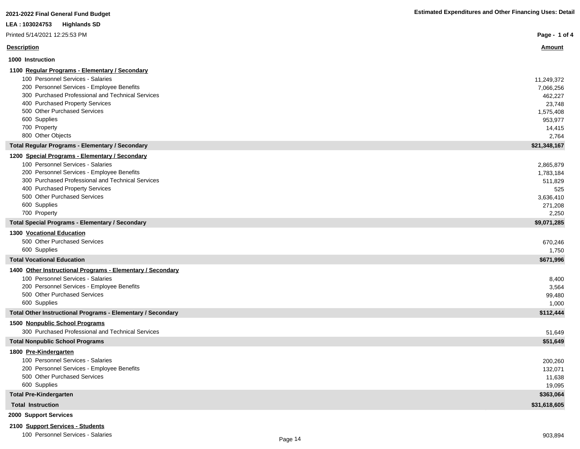|  | <b>Estimated Expenditures and Other Financing Uses: Detail</b> |
|--|----------------------------------------------------------------|
|--|----------------------------------------------------------------|

| 2021-2022 Final General Fund Budget                             | <b>Estimated Expenditures and Other Financing Uses: Detail</b> |
|-----------------------------------------------------------------|----------------------------------------------------------------|
| LEA: 103024753<br><b>Highlands SD</b>                           |                                                                |
| Printed 5/14/2021 12:25:53 PM                                   | Page - 1 of 4                                                  |
| <b>Description</b>                                              | <u>Amount</u>                                                  |
| 1000 Instruction                                                |                                                                |
| 1100 Regular Programs - Elementary / Secondary                  |                                                                |
| 100 Personnel Services - Salaries                               | 11,249,372                                                     |
| 200 Personnel Services - Employee Benefits                      | 7,066,256                                                      |
| 300 Purchased Professional and Technical Services               | 462,227                                                        |
| 400 Purchased Property Services                                 | 23,748                                                         |
| 500 Other Purchased Services                                    | 1,575,408                                                      |
| 600 Supplies                                                    | 953,977                                                        |
| 700 Property                                                    | 14,415                                                         |
| 800 Other Objects                                               | 2,764                                                          |
| <b>Total Regular Programs - Elementary / Secondary</b>          | \$21,348,167                                                   |
| 1200 Special Programs - Elementary / Secondary                  |                                                                |
| 100 Personnel Services - Salaries                               | 2,865,879                                                      |
| 200 Personnel Services - Employee Benefits                      | 1,783,184                                                      |
| 300 Purchased Professional and Technical Services               | 511,829                                                        |
| 400 Purchased Property Services<br>500 Other Purchased Services | 525                                                            |
| 600 Supplies                                                    | 3,636,410                                                      |
| 700 Property                                                    | 271,208<br>2,250                                               |
| <b>Total Special Programs - Elementary / Secondary</b>          | \$9,071,285                                                    |
| 1300 Vocational Education                                       |                                                                |
| 500 Other Purchased Services                                    | 670,246                                                        |
| 600 Supplies                                                    | 1,750                                                          |
| <b>Total Vocational Education</b>                               | \$671,996                                                      |
| 1400 Other Instructional Programs - Elementary / Secondary      |                                                                |
| 100 Personnel Services - Salaries                               | 8,400                                                          |
| 200 Personnel Services - Employee Benefits                      | 3,564                                                          |
| 500 Other Purchased Services                                    | 99,480                                                         |
| 600 Supplies                                                    | 1,000                                                          |
| Total Other Instructional Programs - Elementary / Secondary     | \$112,444                                                      |
| 1500 Nonpublic School Programs                                  |                                                                |
| 300 Purchased Professional and Technical Services               | 51,649                                                         |
| <b>Total Nonpublic School Programs</b>                          | \$51,649                                                       |
| 1800 Pre-Kindergarten                                           |                                                                |
| 100 Personnel Services - Salaries                               | 200,260                                                        |
| 200 Personnel Services - Employee Benefits                      | 132,071                                                        |
| 500 Other Purchased Services                                    | 11,638                                                         |
| 600 Supplies                                                    | 19,095                                                         |
| <b>Total Pre-Kindergarten</b>                                   | \$363,064                                                      |
| <b>Total Instruction</b>                                        | \$31,618,605                                                   |
| 2000 Support Services                                           |                                                                |
| 2100 Support Services - Students                                |                                                                |

## 100 Personnel Services - Salaries 903,894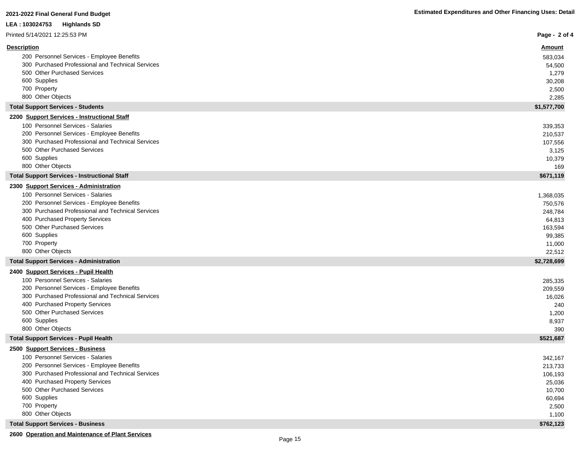| LEA : 103024753<br><b>Highlands SD</b>                                               |                  |
|--------------------------------------------------------------------------------------|------------------|
| Printed 5/14/2021 12:25:53 PM                                                        | Page - 2 of 4    |
| <b>Description</b>                                                                   | <u>Amount</u>    |
| 200 Personnel Services - Employee Benefits                                           | 583,034          |
| 300 Purchased Professional and Technical Services                                    | 54,500           |
| 500 Other Purchased Services                                                         | 1,279            |
| 600 Supplies                                                                         | 30,208           |
| 700 Property                                                                         | 2,500            |
| 800 Other Objects                                                                    | 2,285            |
| <b>Total Support Services - Students</b>                                             | \$1,577,700      |
| 2200 Support Services - Instructional Staff                                          |                  |
| 100 Personnel Services - Salaries                                                    | 339,353          |
| 200 Personnel Services - Employee Benefits                                           | 210,537          |
| 300 Purchased Professional and Technical Services                                    | 107,556          |
| 500 Other Purchased Services                                                         | 3,125            |
| 600 Supplies                                                                         | 10,379           |
| 800 Other Objects                                                                    | 169              |
| <b>Total Support Services - Instructional Staff</b>                                  | \$671,119        |
| 2300 Support Services - Administration                                               |                  |
| 100 Personnel Services - Salaries                                                    | 1,368,035        |
| 200 Personnel Services - Employee Benefits                                           | 750,576          |
| 300 Purchased Professional and Technical Services<br>400 Purchased Property Services | 248.784          |
| 500 Other Purchased Services                                                         | 64,813           |
| 600 Supplies                                                                         | 163,594          |
| 700 Property                                                                         | 99,385           |
| 800 Other Objects                                                                    | 11,000<br>22,512 |
| <b>Total Support Services - Administration</b>                                       | \$2,728,699      |
| 2400 Support Services - Pupil Health                                                 |                  |
| 100 Personnel Services - Salaries                                                    | 285,335          |
| 200 Personnel Services - Employee Benefits                                           | 209,559          |
| 300 Purchased Professional and Technical Services                                    | 16,026           |
| 400 Purchased Property Services                                                      | 240              |
| 500 Other Purchased Services                                                         | 1,200            |
| 600 Supplies                                                                         | 8,937            |
| 800 Other Objects                                                                    | 390              |
| <b>Total Support Services - Pupil Health</b>                                         | \$521,687        |
| 2500 Support Services - Business                                                     |                  |
| 100 Personnel Services - Salaries                                                    | 342,167          |
| 200 Personnel Services - Employee Benefits                                           | 213,733          |
| 300 Purchased Professional and Technical Services                                    | 106,193          |
| 400 Purchased Property Services                                                      | 25,036           |
| 500 Other Purchased Services                                                         | 10,700           |
| 600 Supplies                                                                         | 60,694           |
| 700 Property                                                                         | 2,500            |
| 800 Other Objects                                                                    | 1,100            |
| <b>Total Support Services - Business</b>                                             | \$762,123        |

**2600 Operation and Maintenance of Plant Services**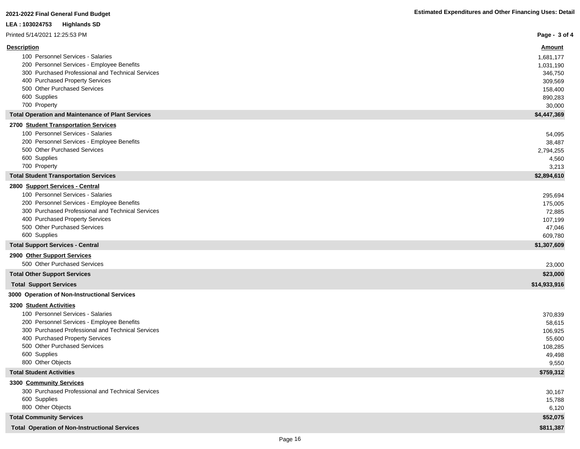| LEA: 103024753<br><b>Highlands SD</b>                                                |                     |
|--------------------------------------------------------------------------------------|---------------------|
| Printed 5/14/2021 12:25:53 PM                                                        | Page - 3 of 4       |
| <b>Description</b>                                                                   | <b>Amount</b>       |
| 100 Personnel Services - Salaries                                                    | 1,681,177           |
| 200 Personnel Services - Employee Benefits                                           | 1,031,190           |
| 300 Purchased Professional and Technical Services                                    | 346,750             |
| 400 Purchased Property Services                                                      | 309,569             |
| 500 Other Purchased Services                                                         | 158,400             |
| 600 Supplies                                                                         | 890,283             |
| 700 Property                                                                         | 30,000              |
| <b>Total Operation and Maintenance of Plant Services</b>                             | \$4,447,369         |
| 2700 Student Transportation Services                                                 |                     |
| 100 Personnel Services - Salaries<br>200 Personnel Services - Employee Benefits      | 54,095              |
| 500 Other Purchased Services                                                         | 38,487<br>2,794,255 |
| 600 Supplies                                                                         | 4,560               |
| 700 Property                                                                         | 3,213               |
| <b>Total Student Transportation Services</b>                                         | \$2,894,610         |
| 2800 Support Services - Central                                                      |                     |
| 100 Personnel Services - Salaries                                                    | 295,694             |
| 200 Personnel Services - Employee Benefits                                           | 175,005             |
| 300 Purchased Professional and Technical Services                                    | 72,885              |
| 400 Purchased Property Services                                                      | 107,199             |
| 500 Other Purchased Services                                                         | 47,046              |
| 600 Supplies                                                                         | 609,780             |
| <b>Total Support Services - Central</b>                                              | \$1,307,609         |
| 2900 Other Support Services                                                          |                     |
| 500 Other Purchased Services                                                         | 23,000              |
| <b>Total Other Support Services</b>                                                  | \$23,000            |
| <b>Total Support Services</b>                                                        | \$14,933,916        |
| 3000 Operation of Non-Instructional Services                                         |                     |
| 3200 Student Activities                                                              |                     |
| 100 Personnel Services - Salaries                                                    | 370,839             |
| 200 Personnel Services - Employee Benefits                                           | 58,615              |
| 300 Purchased Professional and Technical Services<br>400 Purchased Property Services | 106,925             |
| 500 Other Purchased Services                                                         | 55,600<br>108,285   |
| 600 Supplies                                                                         | 49,498              |
| 800 Other Objects                                                                    | 9,550               |
| <b>Total Student Activities</b>                                                      | \$759,312           |
| 3300 Community Services                                                              |                     |
| 300 Purchased Professional and Technical Services                                    | 30,167              |
| 600 Supplies                                                                         | 15,788              |
| 800 Other Objects                                                                    | 6,120               |
| <b>Total Community Services</b>                                                      | \$52,075            |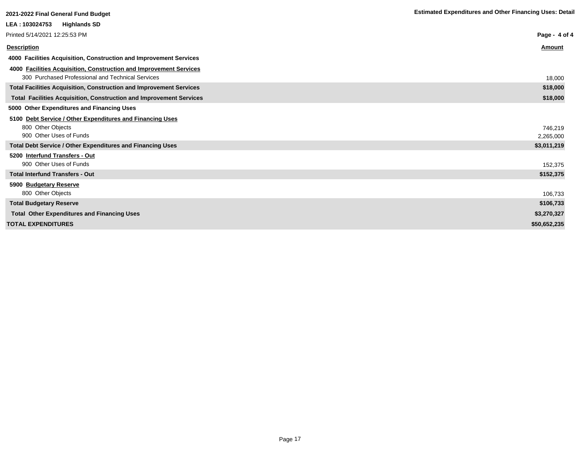| 2021-2022 Final General Fund Budget                                        | <b>Estimated Expenditures and Other Financing Uses: Detail</b> |
|----------------------------------------------------------------------------|----------------------------------------------------------------|
| LEA : 103024753<br><b>Highlands SD</b>                                     |                                                                |
| Printed 5/14/2021 12:25:53 PM                                              | Page - 4 of 4                                                  |
| <b>Description</b>                                                         | Amount                                                         |
| 4000 Facilities Acquisition, Construction and Improvement Services         |                                                                |
| 4000 Facilities Acquisition, Construction and Improvement Services         |                                                                |
| 300 Purchased Professional and Technical Services                          | 18,000                                                         |
| Total Facilities Acquisition, Construction and Improvement Services        | \$18,000                                                       |
| <b>Total Facilities Acquisition, Construction and Improvement Services</b> | \$18,000                                                       |
| 5000 Other Expenditures and Financing Uses                                 |                                                                |
| 5100 Debt Service / Other Expenditures and Financing Uses                  |                                                                |
| 800 Other Objects                                                          | 746.219                                                        |
| 900 Other Uses of Funds                                                    | 2,265,000                                                      |
| <b>Total Debt Service / Other Expenditures and Financing Uses</b>          | \$3,011,219                                                    |
| 5200 Interfund Transfers - Out                                             |                                                                |
| 900 Other Uses of Funds                                                    | 152,375                                                        |
| <b>Total Interfund Transfers - Out</b>                                     | \$152,375                                                      |
| 5900 Budgetary Reserve                                                     |                                                                |
| 800 Other Objects                                                          | 106,733                                                        |
| <b>Total Budgetary Reserve</b>                                             | \$106,733                                                      |
| <b>Total Other Expenditures and Financing Uses</b>                         | \$3,270,327                                                    |
| <b>TOTAL EXPENDITURES</b>                                                  | \$50,652,235                                                   |
|                                                                            |                                                                |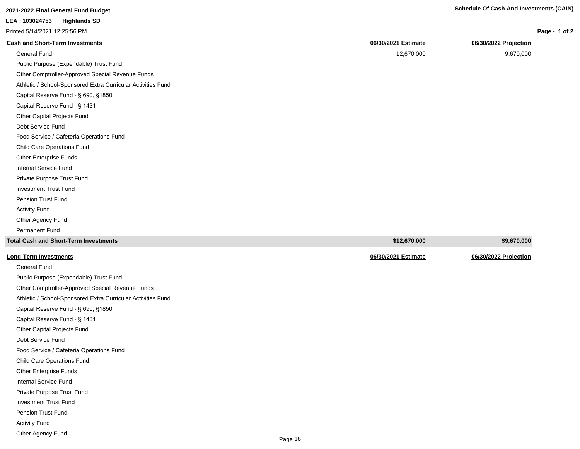| <b>Schedule Of Cash And Investments (CAIN)</b><br>$\mathbf{A}$ and $\mathbf{A}$ and $\mathbf{A}$ and $\mathbf{A}$ and $\mathbf{A}$ and $\mathbf{A}$ and $\mathbf{A}$ and $\mathbf{A}$ and $\mathbf{A}$ and $\mathbf{A}$ and $\mathbf{A}$ and $\mathbf{A}$ and $\mathbf{A}$ and $\mathbf{A}$ and $\mathbf{A}$ and $\mathbf{A}$ and $\mathbf{A}$ and |
|----------------------------------------------------------------------------------------------------------------------------------------------------------------------------------------------------------------------------------------------------------------------------------------------------------------------------------------------------|
|                                                                                                                                                                                                                                                                                                                                                    |

| LEA: 103024753<br><b>Highlands SD</b>                        |                     |                       |
|--------------------------------------------------------------|---------------------|-----------------------|
| Printed 5/14/2021 12:25:56 PM                                |                     | Page - 1 of 2         |
| <b>Cash and Short-Term Investments</b>                       | 06/30/2021 Estimate | 06/30/2022 Projection |
| General Fund                                                 | 12,670,000          | 9,670,000             |
| Public Purpose (Expendable) Trust Fund                       |                     |                       |
| Other Comptroller-Approved Special Revenue Funds             |                     |                       |
| Athletic / School-Sponsored Extra Curricular Activities Fund |                     |                       |
| Capital Reserve Fund - § 690, §1850                          |                     |                       |
| Capital Reserve Fund - § 1431                                |                     |                       |
| Other Capital Projects Fund                                  |                     |                       |
| Debt Service Fund                                            |                     |                       |
| Food Service / Cafeteria Operations Fund                     |                     |                       |
| <b>Child Care Operations Fund</b>                            |                     |                       |
| Other Enterprise Funds                                       |                     |                       |
| Internal Service Fund                                        |                     |                       |
| Private Purpose Trust Fund                                   |                     |                       |
| <b>Investment Trust Fund</b>                                 |                     |                       |
| Pension Trust Fund                                           |                     |                       |
| <b>Activity Fund</b>                                         |                     |                       |

**Total Cash and Short-Term Investments \$12,670,000 \$9,670,000 Long-Term Investments 06/30/2021 Estimate 06/30/2022 Projection** General Fund Public Purpose (Expendable) Trust Fund

Other Comptroller-Approved Special Revenue Funds Athletic / School-Sponsored Extra Curricular Activities Fund Capital Reserve Fund - § 690, §1850 Capital Reserve Fund - § 1431 Other Capital Projects Fund Debt Service Fund Food Service / Cafeteria Operations Fund Child Care Operations Fund Other Enterprise Funds Internal Service Fund Private Purpose Trust Fund Investment Trust Fund Pension Trust Fund Activity Fund Other Agency Fund

Other Agency Fund Permanent Fund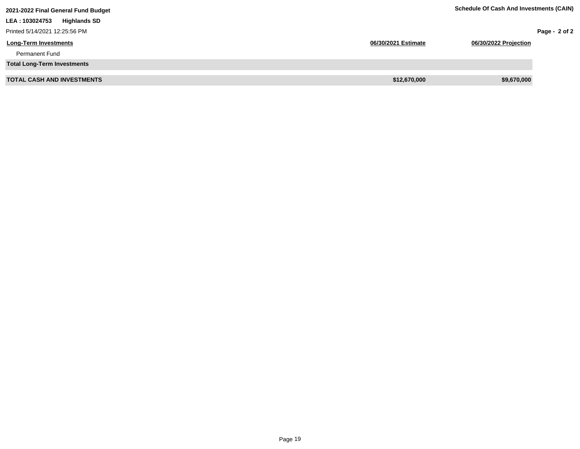| 2021-2022 Final General Fund Budget    |                     | <b>Schedule Of Cash And Investments (CAIN)</b> |                 |
|----------------------------------------|---------------------|------------------------------------------------|-----------------|
| <b>Highlands SD</b><br>LEA : 103024753 |                     |                                                |                 |
| Printed 5/14/2021 12:25:56 PM          |                     |                                                | Page - $2$ of 2 |
| <b>Long-Term Investments</b>           | 06/30/2021 Estimate | 06/30/2022 Projection                          |                 |
| <b>Permanent Fund</b>                  |                     |                                                |                 |
| <b>Total Long-Term Investments</b>     |                     |                                                |                 |
| <b>TOTAL CASH AND INVESTMENTS</b>      | \$12,670,000        | \$9,670,000                                    |                 |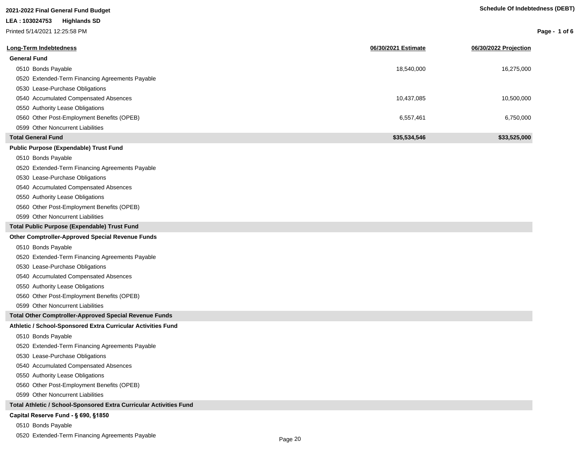## **2021-2022 Final General Fund Budget LEA : 103024753 Highlands SD**

Printed 5/14/2021 12:25:58 PM

| Page - 1 of 6 |  |  |  |
|---------------|--|--|--|
|---------------|--|--|--|

| Long-Term Indebtedness                                             | 06/30/2021 Estimate | 06/30/2022 Projection |
|--------------------------------------------------------------------|---------------------|-----------------------|
| <b>General Fund</b>                                                |                     |                       |
| 0510 Bonds Payable                                                 | 18,540,000          | 16,275,000            |
| 0520 Extended-Term Financing Agreements Payable                    |                     |                       |
| 0530 Lease-Purchase Obligations                                    |                     |                       |
| 0540 Accumulated Compensated Absences                              | 10,437,085          | 10,500,000            |
| 0550 Authority Lease Obligations                                   |                     |                       |
| 0560 Other Post-Employment Benefits (OPEB)                         | 6,557,461           | 6,750,000             |
| 0599 Other Noncurrent Liabilities                                  |                     |                       |
| <b>Total General Fund</b>                                          | \$35,534,546        | \$33,525,000          |
| <b>Public Purpose (Expendable) Trust Fund</b>                      |                     |                       |
| 0510 Bonds Payable                                                 |                     |                       |
| 0520 Extended-Term Financing Agreements Payable                    |                     |                       |
| 0530 Lease-Purchase Obligations                                    |                     |                       |
| 0540 Accumulated Compensated Absences                              |                     |                       |
| 0550 Authority Lease Obligations                                   |                     |                       |
| 0560 Other Post-Employment Benefits (OPEB)                         |                     |                       |
| 0599 Other Noncurrent Liabilities                                  |                     |                       |
| Total Public Purpose (Expendable) Trust Fund                       |                     |                       |
| <b>Other Comptroller-Approved Special Revenue Funds</b>            |                     |                       |
| 0510 Bonds Payable                                                 |                     |                       |
| 0520 Extended-Term Financing Agreements Payable                    |                     |                       |
| 0530 Lease-Purchase Obligations                                    |                     |                       |
| 0540 Accumulated Compensated Absences                              |                     |                       |
| 0550 Authority Lease Obligations                                   |                     |                       |
| 0560 Other Post-Employment Benefits (OPEB)                         |                     |                       |
| 0599 Other Noncurrent Liabilities                                  |                     |                       |
| Total Other Comptroller-Approved Special Revenue Funds             |                     |                       |
| Athletic / School-Sponsored Extra Curricular Activities Fund       |                     |                       |
| 0510 Bonds Payable                                                 |                     |                       |
| 0520 Extended-Term Financing Agreements Payable                    |                     |                       |
| 0530 Lease-Purchase Obligations                                    |                     |                       |
| 0540 Accumulated Compensated Absences                              |                     |                       |
| 0550 Authority Lease Obligations                                   |                     |                       |
| 0560 Other Post-Employment Benefits (OPEB)                         |                     |                       |
| 0599 Other Noncurrent Liabilities                                  |                     |                       |
| Total Athletic / School-Sponsored Extra Curricular Activities Fund |                     |                       |
| Capital Reserve Fund - § 690, §1850                                |                     |                       |
| 0510 Bonds Payable                                                 |                     |                       |

0520 Extended-Term Financing Agreements Payable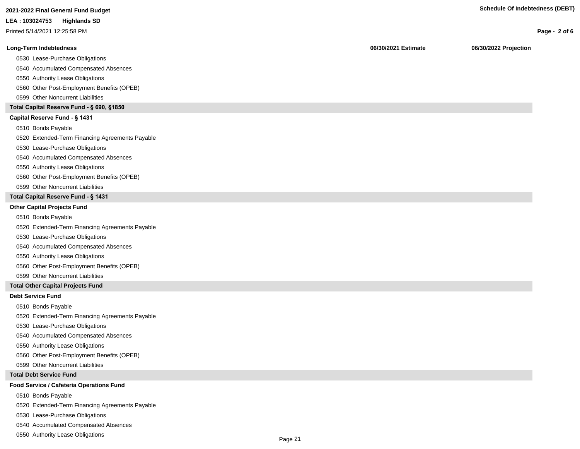Printed 5/14/2021 12:25:58 PM

### **Long-Term Indebtedness 06/30/2021 Estimate 06/30/2022 Projection**

0530 Lease-Purchase Obligations

0540 Accumulated Compensated Absences

0550 Authority Lease Obligations

0560 Other Post-Employment Benefits (OPEB)

0599 Other Noncurrent Liabilities

### **Total Capital Reserve Fund - § 690, §1850**

### Capital Reserve Fund - § 1431

0510 Bonds Payable

0520 Extended-Term Financing Agreements Payable

0530 Lease-Purchase Obligations

0540 Accumulated Compensated Absences

### 0550 Authority Lease Obligations

0560 Other Post-Employment Benefits (OPEB)

0599 Other Noncurrent Liabilities

### **Total Capital Reserve Fund - § 1431**

### **Other Capital Projects Fund**

0510 Bonds Payable

0520 Extended-Term Financing Agreements Payable

0530 Lease-Purchase Obligations

0540 Accumulated Compensated Absences

0550 Authority Lease Obligations

0560 Other Post-Employment Benefits (OPEB)

0599 Other Noncurrent Liabilities

### **Total Other Capital Projects Fund**

### **Debt Service Fund**

0510 Bonds Payable

0520 Extended-Term Financing Agreements Payable

0530 Lease-Purchase Obligations

0540 Accumulated Compensated Absences

0550 Authority Lease Obligations

0560 Other Post-Employment Benefits (OPEB)

0599 Other Noncurrent Liabilities

### **Total Debt Service Fund**

### **Food Service / Cafeteria Operations Fund**

0510 Bonds Payable

0520 Extended-Term Financing Agreements Payable

0530 Lease-Purchase Obligations

0540 Accumulated Compensated Absences

0550 Authority Lease Obligations

**Page - 2 of 6**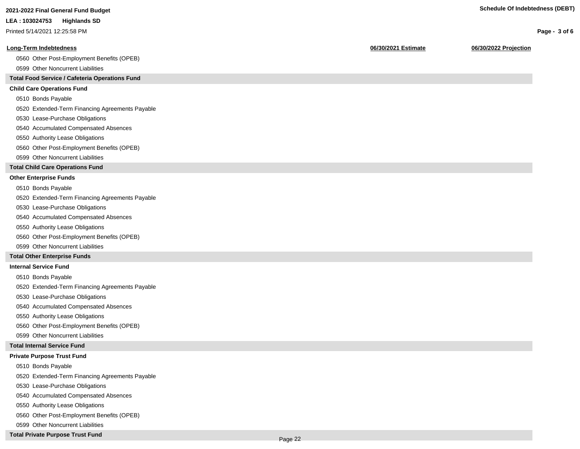**Page - 3 of 6**

### **LEA : 103024753 Highlands SD**

Printed 5/14/2021 12:25:58 PM

### **Long-Term Indebtedness 06/30/2021 Estimate 06/30/2022 Projection**

0560 Other Post-Employment Benefits (OPEB)

0599 Other Noncurrent Liabilities

### **Total Food Service / Cafeteria Operations Fund**

### **Child Care Operations Fund**

0510 Bonds Payable

0520 Extended-Term Financing Agreements Payable

- 0530 Lease-Purchase Obligations
- 0540 Accumulated Compensated Absences
- 0550 Authority Lease Obligations
- 0560 Other Post-Employment Benefits (OPEB)
- 0599 Other Noncurrent Liabilities

### **Total Child Care Operations Fund**

### **Other Enterprise Funds**

- 0510 Bonds Payable
- 0520 Extended-Term Financing Agreements Payable
- 0530 Lease-Purchase Obligations
- 0540 Accumulated Compensated Absences
- 0550 Authority Lease Obligations
- 0560 Other Post-Employment Benefits (OPEB)
- 0599 Other Noncurrent Liabilities

### **Total Other Enterprise Funds**

### **Internal Service Fund**

- 0510 Bonds Payable
- 0520 Extended-Term Financing Agreements Payable
- 0530 Lease-Purchase Obligations
- 0540 Accumulated Compensated Absences
- 0550 Authority Lease Obligations
- 0560 Other Post-Employment Benefits (OPEB)
- 0599 Other Noncurrent Liabilities

### **Total Internal Service Fund**

### **Private Purpose Trust Fund**

- 0510 Bonds Payable
- 0520 Extended-Term Financing Agreements Payable
- 0530 Lease-Purchase Obligations
- 0540 Accumulated Compensated Absences
- 0550 Authority Lease Obligations
- 0560 Other Post-Employment Benefits (OPEB)
- 0599 Other Noncurrent Liabilities
- **Total Private Purpose Trust Fund**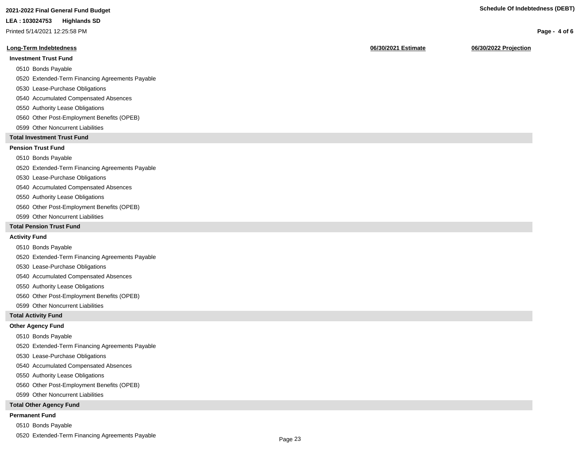## **2021-2022 Final General Fund Budget Schedule Of Indebtedness (DEBT)**

### **LEA : 103024753 Highlands SD**

Printed 5/14/2021 12:25:58 PM

### **Long-Term Indebtedness 06/30/2021 Estimate 06/30/2022 Projection**

### **Investment Trust Fund**

0510 Bonds Payable

- 0520 Extended-Term Financing Agreements Payable
- 0530 Lease-Purchase Obligations
- 0540 Accumulated Compensated Absences
- 0550 Authority Lease Obligations
- 0560 Other Post-Employment Benefits (OPEB)
- 0599 Other Noncurrent Liabilities

### **Total Investment Trust Fund**

### **Pension Trust Fund**

0510 Bonds Payable

0520 Extended-Term Financing Agreements Payable

- 0530 Lease-Purchase Obligations
- 0540 Accumulated Compensated Absences
- 0550 Authority Lease Obligations
- 0560 Other Post-Employment Benefits (OPEB)
- 0599 Other Noncurrent Liabilities

### **Total Pension Trust Fund**

### **Activity Fund**

- 0510 Bonds Payable
- 0520 Extended-Term Financing Agreements Payable
- 0530 Lease-Purchase Obligations
- 0540 Accumulated Compensated Absences
- 0550 Authority Lease Obligations
- 0560 Other Post-Employment Benefits (OPEB)
- 0599 Other Noncurrent Liabilities

### **Total Activity Fund**

### **Other Agency Fund**

- 0510 Bonds Payable
- 0520 Extended-Term Financing Agreements Payable
- 0530 Lease-Purchase Obligations
- 0540 Accumulated Compensated Absences
- 0550 Authority Lease Obligations
- 0560 Other Post-Employment Benefits (OPEB)
- 0599 Other Noncurrent Liabilities

### **Total Other Agency Fund**

### **Permanent Fund**

- 0510 Bonds Payable
- 0520 Extended-Term Financing Agreements Payable

**Page - 4 of 6**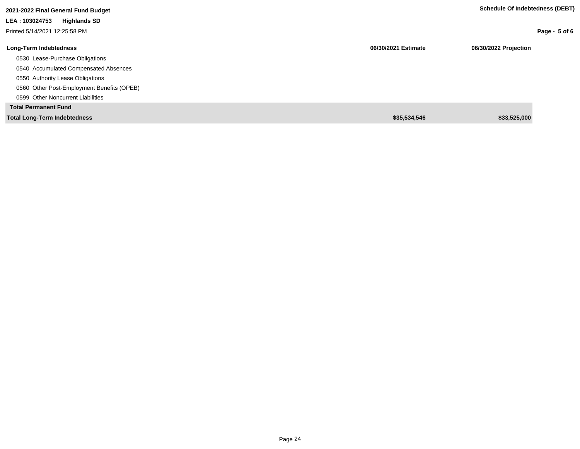| 2021-2022 Final General Fund Budget        |                     | Scriedule Of Indeptedness (DEDT) |
|--------------------------------------------|---------------------|----------------------------------|
| LEA: 103024753<br><b>Highlands SD</b>      |                     |                                  |
| Printed 5/14/2021 12:25:58 PM              |                     | Page - $5$ of 6                  |
| <b>Long-Term Indebtedness</b>              | 06/30/2021 Estimate | 06/30/2022 Projection            |
| 0530 Lease-Purchase Obligations            |                     |                                  |
| 0540 Accumulated Compensated Absences      |                     |                                  |
| 0550 Authority Lease Obligations           |                     |                                  |
| 0560 Other Post-Employment Benefits (OPEB) |                     |                                  |
| 0599 Other Noncurrent Liabilities          |                     |                                  |
| <b>Total Permanent Fund</b>                |                     |                                  |
| <b>Total Long-Term Indebtedness</b>        | \$35,534,546        | \$33,525,000                     |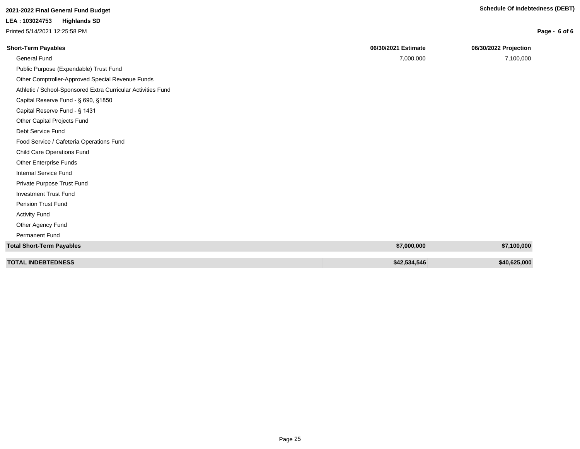Printed 5/14/2021 12:25:58 PM

| Page - 6 of 6 |  |  |  |  |
|---------------|--|--|--|--|
|---------------|--|--|--|--|

| <b>Short-Term Payables</b>                                   | 06/30/2021 Estimate | 06/30/2022 Projection |
|--------------------------------------------------------------|---------------------|-----------------------|
| <b>General Fund</b>                                          | 7,000,000           | 7,100,000             |
| Public Purpose (Expendable) Trust Fund                       |                     |                       |
| Other Comptroller-Approved Special Revenue Funds             |                     |                       |
| Athletic / School-Sponsored Extra Curricular Activities Fund |                     |                       |
| Capital Reserve Fund - § 690, §1850                          |                     |                       |
| Capital Reserve Fund - § 1431                                |                     |                       |
| Other Capital Projects Fund                                  |                     |                       |
| Debt Service Fund                                            |                     |                       |
| Food Service / Cafeteria Operations Fund                     |                     |                       |
| <b>Child Care Operations Fund</b>                            |                     |                       |
| <b>Other Enterprise Funds</b>                                |                     |                       |
| <b>Internal Service Fund</b>                                 |                     |                       |
| Private Purpose Trust Fund                                   |                     |                       |
| <b>Investment Trust Fund</b>                                 |                     |                       |
| Pension Trust Fund                                           |                     |                       |
| <b>Activity Fund</b>                                         |                     |                       |
| Other Agency Fund                                            |                     |                       |
| Permanent Fund                                               |                     |                       |
| <b>Total Short-Term Payables</b>                             | \$7,000,000         | \$7,100,000           |
| <b>TOTAL INDEBTEDNESS</b>                                    | \$42,534,546        | \$40,625,000          |